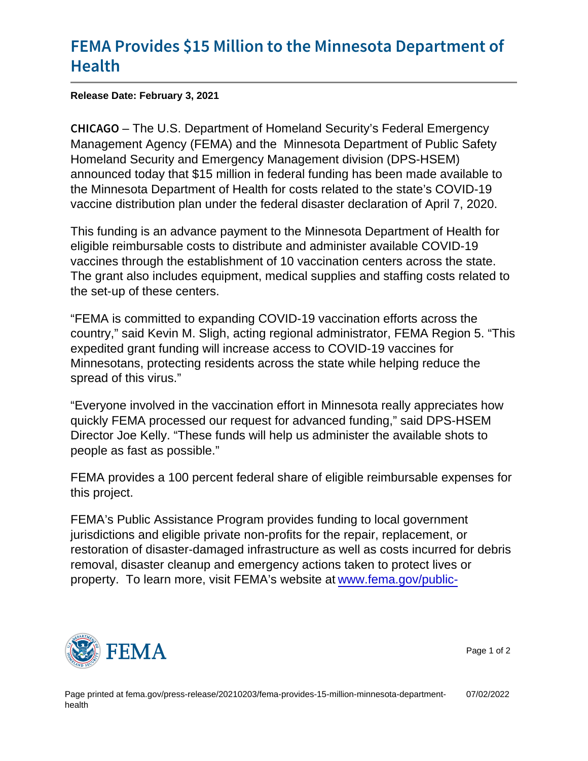## [FEMA Provides \\$15 Million to the M](https://www.fema.gov/press-release/20210203/fema-provides-15-million-minnesota-department-health)inneso [Hea](https://www.fema.gov/press-release/20210203/fema-provides-15-million-minnesota-department-health)lth

Release Date: February 3, 2021

C H I C A GIO U.S. Department of Homeland Security's Federal Emergency Management Agency (FEMA) and the Minnesota Department of Public Safety Homeland Security and Emergency Management division (DPS-HSEM) announced today that \$15 million in federal funding has been made available to the Minnesota Department of Health for costs related to the state's COVID-19 vaccine distribution plan under the federal disaster declaration of April 7, 2020.

This funding is an advance payment to the Minnesota Department of Health for eligible reimbursable costs to distribute and administer available COVID-19 vaccines through the establishment of 10 vaccination centers across the state. The grant also includes equipment, medical supplies and staffing costs related to the set-up of these centers.

"FEMA is committed to expanding COVID-19 vaccination efforts across the country," said Kevin M. Sligh, acting regional administrator, FEMA Region 5. "This expedited grant funding will increase access to COVID-19 vaccines for Minnesotans, protecting residents across the state while helping reduce the spread of this virus."

"Everyone involved in the vaccination effort in Minnesota really appreciates how quickly FEMA processed our request for advanced funding," said DPS-HSEM Director Joe Kelly. "These funds will help us administer the available shots to people as fast as possible."

FEMA provides a 100 percent federal share of eligible reimbursable expenses for this project.

FEMA's Public Assistance Program provides funding to local government jurisdictions and eligible private non-profits for the repair, replacement, or restoration of disaster-damaged infrastructure as well as costs incurred for debris removal, disaster cleanup and emergency actions taken to protect lives or property. To learn more, visit FEMA's website at [www.fema.gov/public-](http://www.fema.gov/public-assistance-local-state-tribal-and-non-profit)



Page 1 of 2